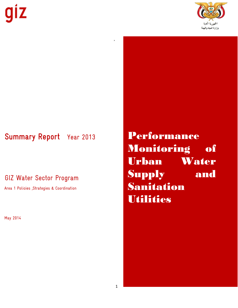

# Summary Report Year 2013

GIZ Water Sector Program

Area 1 Policies , Strategies & Coordination

May 2014

Performance Monitoring of Urban Water Supply and Sanitation **Utilities** 

,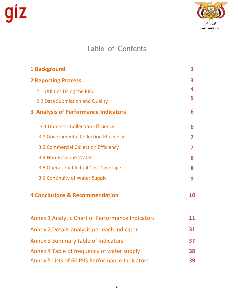

# Table of Contents

| 1 Background                                            | 3  |
|---------------------------------------------------------|----|
| <b>2 Reporting Process</b>                              | 3  |
| 2.1 Utilities Using the PIIS                            | 4  |
| 2.2 Data Submission and Quality                         | 5  |
| <b>3 Analysis of Performance Indicators</b>             | 6  |
| 3.1 Domestic Collection Efficiency                      | 6  |
| 3.2 Governmental Collection Efficiency                  | 7  |
| 3.3 Commercial Collection Efficiency                    | 7  |
| 3.4 Non-Revenue Water                                   | 8  |
| 3.5 Operational Actual Cost Coverage                    | 8  |
| 3.6 Continuity of Water Supply                          | 9  |
| <b>4 Conclusions &amp; Recommendation</b>               | 10 |
| <b>Annex 1 Analytic Chart of Performance Indicators</b> | 11 |
| Annex 2 Details analysis per each indicator             | 31 |
| <b>Annex 3 Summary table of Indicators</b>              | 37 |
| Annex 4 Table of frequency of water supply              | 38 |
| Annex 5 Lists of 60 PIIS Performance Indicators         | 39 |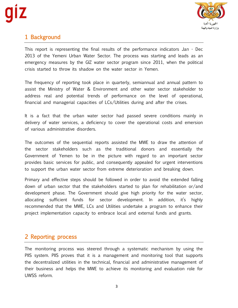

# 1 Background

This report is representing the final results of the performance indicators Jan - Dec 2013 of the Yemeni Urban Water Sector. The process was starting and leads as an emergency measures by the GIZ water sector program since 2011, when the political crisis started to throw its shadow on the water sector in Yemen.

The frequency of reporting took place in quarterly, semiannual and annual pattern to assist the Ministry of Water & Environment and other water sector stakeholder to address real and potential trends of performance on the level of operational, financial and managerial capacities of LCs/Utilities during and after the crises.

It is a fact that the urban water sector had passed severe conditions mainly in delivery of water services, a deficiency to cover the operational costs and emersion of various administrative disorders.

The outcomes of the sequential reports assisted the MWE to draw the attention of the sector stakeholders such as the traditional donors and essentially the Government of Yemen to be in the picture with regard to an important sector provides basic services for public, and consequently appealed for urgent interventions to support the urban water sector from extreme deterioration and breaking down.

Primary and effective steps should be followed in order to avoid the extended falling down of urban sector that the stakeholders started to plan for rehabilitation or/and development phase. The Government should give high priority for the water sector, allocating sufficient funds for sector development. In addition, it's highly recommended that the MWE, LCs and Utilities undertake a program to enhance their project implementation capacity to embrace local and external funds and grants.

# 2 Reporting process

The monitoring process was steered through a systematic mechanism by using the PIIS system. PIIS proves that it is a management and monitoring tool that supports the decentralized utilities in the technical, financial and administrative management of their business and helps the MWE to achieve its monitoring and evaluation role for UWSS reform.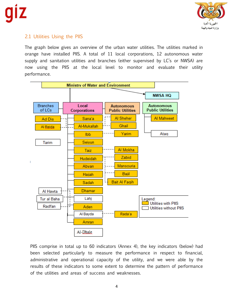

# 2.1 Utilities Using the PIIS

The graph below gives an overview of the urban water utilities. The utilities marked in orange have installed PIIS. A total of 11 local corporations, 12 autonomous water supply and sanitation utilities and branches (either supervised by LC's or NWSA) are now using the PIIS at the local level to monitor and evaluate their utility performance.



PIIS comprise in total up to 60 indicators (Annex 4), the key indicators (below) had been selected particularly to measure the performance in respect to financial, administrative and operational capacity of the utility, and we were able by the results of these indicators to some extent to determine the pattern of performance of the utilities and areas of success and weaknesses.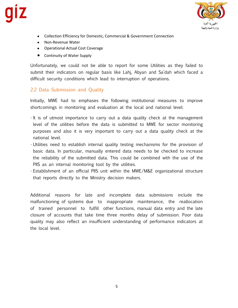

- Collection Efficiency for Domestic, Commercial & Government Connection
- Non-Revenue Water
- Operational Actual Cost Coverage
- Continuity of Water Supply

Unfortunately, we could not be able to report for some Utilities as they failed to submit their indicators on regular basis like Lahj, Abyan and Sa'dah which faced a difficult security conditions which lead to interruption of operations.

# 2.2 Data Submission and Quality

Initially, MWE had to emphases the following institutional measures to improve shortcomings in monitoring and evaluation at the local and national level:

- $\cdot$  It is of utmost importance to carry out a data quality check at the management level of the utilities before the data is submitted to MWE for sector monitoring purposes and also it is very important to carry out a data quality check at the national level.
- Utilities need to establish internal quality testing mechanisms for the provision of basic data. In particular, manually entered data needs to be checked to increase the reliability of the submitted data. This could be combined with the use of the PIIS as an internal monitoring tool by the utilities.
- Establishment of an official PIIS unit within the MWE/M&E organizational structure that reports directly to the Ministry decision makers.

Additional reasons for late and incomplete data submissions include the malfunctioning of systems due to inappropriate maintenance, the reallocation of trained personnel to fulfill other functions, manual data entry and the late closure of accounts that take time three months delay of submission. Poor data quality may also reflect an insufficient understanding of performance indicators at the local level.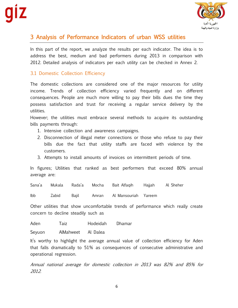

# 3 Analysis of Performance Indicators of urban WSS utilities

In this part of the report, we analyze the results per each indicator. The idea is to address the best, medium and bad performers during 2013 in comparison with 2012. Detailed analysis of indicators per each utility can be checked in Annex 2.

# 3.1 Domestic Collection Efficiency

The domestic collections are considered one of the major resources for utility income. Trends of collection efficiency varied frequently and on different consequences. People are much more willing to pay their bills dues the time they possess satisfaction and trust for receiving a regular service delivery by the utilities.

However; the utilities must embrace several methods to acquire its outstanding bills payments through:

- 1. Intensive collection and awareness campaigns.
- 2. Disconnection of illegal meter connections or those who refuse to pay their bills due the fact that utility staffs are faced with violence by the customers.
- 3. Attempts to install amounts of invoices on intermittent periods of time.

In figures; Utilities that ranked as best performers that exceed 80% annual average are:

Sana'a Mukala Rada'a Mocha Bait Alfaqih Hajjah Al Sheher

Ibb Zabid Bajil Amran Al Mansouriah Yareem

Other utilities that show uncomfortable trends of performance which really create concern to decline steadily such as

Aden Taiz Hodeidah Dhamar

Seyuon AlMahweet Al Dalea

It's worthy to highlight the average annual value of collection efficiency for Aden that falls dramatically to 51% as consequences of consecutive administrative and operational regression.

Annual national average for domestic collection in 2013 was 82% and 85% for 2012.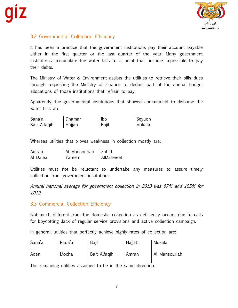

# 3.2 Governmental Collection Efficiency

It has been a practice that the government institutions pay their account payable either in the first quarter or the last quarter of the year. Many government institutions accumulate the water bills to a point that became impossible to pay their debts.

The Ministry of Water & Environment assists the utilities to retrieve their bills dues through requesting the Ministry of Finance to deduct part of the annual budget allocations of those institutions that refrain to pay.

Apparently; the governmental institutions that showed commitment to disburse the water bills are

| Sana'a       | Dhamar | $ $ lbb | Seyuon |
|--------------|--------|---------|--------|
| Bait Alfaqih | Hajjah | Bajil   | Mukala |

Whereas utilities that proves weakness in collection mostly are;

| Amran    | Al Mansouriah   Zabid |           |
|----------|-----------------------|-----------|
| Al Dalea | Yareem                | AlMahweet |

Utilities must not be reluctant to undertake any measures to assure timely collection from government institutions.

Annual national average for government collection in 2013 was 67% and 185% for 2012.

# 3.3 Commercial Collection Efficiency

Not much different from the domestic collection as deficiency occurs due to calls for boycotting ,lack of regular service provisions and active collection campaign.

In general; utilities that perfectly achieve highly rates of collection are:

| Sana'a | Rada'a | <b>Bajil</b> | Hajjah | Mukala        |
|--------|--------|--------------|--------|---------------|
| Aden   | Mocha  | Bait Alfagih | Amran  | Al Mansouriah |

The remaining utilities assumed to be in the same direction.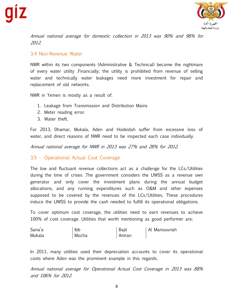

Annual national average for domestic collection in 2013 was 90% and 98% for 2012.

# 3.4 Non-Revenue Water

NWR within its two components (Administrative & Technical) become the nightmare of every water utility .Financially; the utility is prohibited from revenue of selling water and technically water leakages need more investment for repair and replacement of old networks.

NWR in Yemen is mostly as a result of:

- 1. Leakage from Transmission and Distribution Mains
- 2. Meter reading error.
- 3. Water theft.

For 2013, Dhamar, Mukala, Aden and Hodeidah suffer from excessive loss of water, and direct reasons of NWR need to be inspected each case individually.

Annual national average for NWR in 2013 was 27% and 28% for 2012.

# 3.5 • Operational Actual Cost Coverage

The low and fluctuant revenue collections act as a challenge for the LCs/Utilities during the time of crises .The government considers the UWSS as a revenue own generator and only cover the investment plans during the annual budget allocations, and any running expenditures such as O&M and other expenses supposed to be covered by the revenues of the LCs/Utilities. These procedures induce the UWSS to provide the cash needed to fulfill its operational obligations.

To cover optimum cost coverage, the utilities need to earn revenues to achieve 100% of cost coverage. Utilities that worth mentioning as good performer are:

| Sana'a | Ibb   | Baiil | Al Mansouriah |
|--------|-------|-------|---------------|
| Mukala | Mocha | Amran |               |

In 2011, many utilities used their depreciation accounts to cover its operational costs where Aden was the prominent example in this regards.

Annual national average for Operational Actual Cost Coverage in 2013 was 88% and 106% for 2012.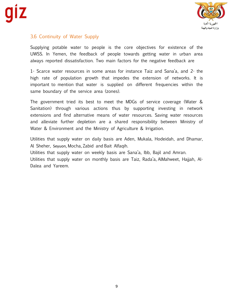

# 3.6 Continuity of Water Supply

Supplying potable water to people is the core objectives for existence of the UWSS. In Yemen, the feedback of people towards getting water in urban area always reported dissatisfaction. Two main factors for the negative feedback are

1- Scarce water resources in some areas for instance Taiz and Sana'a, and 2- the high rate of population growth that impedes the extension of networks. It is important to mention that water is supplied on different frequencies within the same boundary of the service area (zones).

The government tried its best to meet the MDGs of service coverage (Water & Sanitation) through various actions thus by supporting investing in network extensions and find alternative means of water resources. Saving water resources and alleviate further depletion are a shared responsibility between Ministry of Water & Environment and the Ministry of Agriculture & Irrigation.

Utilities that supply water on daily basis are Aden, Mukala, Hodeidah, and Dhamar, Al Sheher, Seyuon, Mocha, Zabid and Bait Alfaqih.

Utilities that supply water on weekly basis are Sana'a, Ibb, Bajil and Amran.

Utilities that supply water on monthly basis are Taiz, Rada'a, AlMahweet, Hajjah, Al-Dalea and Yareem.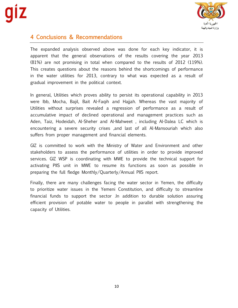

# 4 Conclusions & Recommendations

The expanded analysis observed above was done for each key indicator, it is apparent that the general observations of the results covering the year 2013 (81%) are not promising in total when compared to the results of 2012 (119%). This creates questions about the reasons behind the shortcomings of performance in the water utilities for 2013, contrary to what was expected as a result of gradual improvement in the political context.

In general, Utilities which proves ability to persist its operational capability in 2013 were Ibb, Mocha, Bajil, Bait Al-Faqih and Hajjah. Whereas the vast majority of Utilities without surprises revealed a regression of performance as a result of accumulative impact of declined operational and management practices such as Aden, Taiz, Hodeidah, Al-Sheher and Al-Mahweet , including Al-Dalea LC which is encountering a severe security crises ,and last of all Al-Mansouriah which also suffers from proper management and financial elements.

GIZ is committed to work with the Ministry of Water and Environment and other stakeholders to assess the performance of utilities in order to provide improved services. GIZ WSP is coordinating with MWE to provide the technical support for activating PIIS unit in MWE to resume its functions as soon as possible in preparing the full fledge Monthly/Quarterly/Annual PIIS report.

Finally, there are many challenges facing the water sector in Yemen, the difficulty to prioritize water issues in the Yemeni Constitution, and difficulty to streamline financial funds to support the sector .In addition to durable solution assuring efficient provision of potable water to people in parallel with strengthening the capacity of Utilities.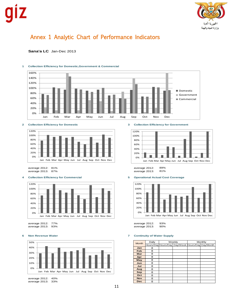

# Annex 1 Analytic Chart of Performance Indicators

## **Sana'a LC** Jan-Dec 2013



## **1 Collection Efficiency for Domestic,Government & Commercial**



average 2013: 87% average 2013: 81%



average 2012: 77% average 2012: 93% average 2013: 93% average 2013: 90%



average 2012: 40% average 2013: 33%

## **2 Collection Efficiency for Domestic 3 Collection Efficiency for Government**



average 2012: 81% average 2012: 89%

### **4 Collection Efficiency for Commercial 5 Operational Actual Cost Coverage**



| Month      | Daily | Weekly                                           | Monthly |  |
|------------|-------|--------------------------------------------------|---------|--|
|            |       | Hours/Day Hours/Day Day/Week Hours/Day Day/Month |         |  |
| Jan        | 8     |                                                  |         |  |
| Feb        | 8     |                                                  |         |  |
| Mar        | 8     |                                                  |         |  |
| Apr        | 8     |                                                  |         |  |
| May        | 8     |                                                  |         |  |
| Jun        | 8     |                                                  |         |  |
| Jul        | 8     |                                                  |         |  |
| Aug        | 8     |                                                  |         |  |
| <b>Sep</b> | 8     |                                                  |         |  |
| Oct        | 8     |                                                  |         |  |
| <b>Nov</b> | 8     |                                                  |         |  |
| <b>Dec</b> | 8     |                                                  |         |  |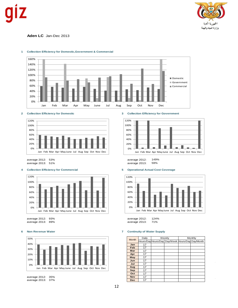

**Aden LC** Jan-Dec 2013



### **1 Collection Efficiency for Domestic,Government & Commercial**



average 2012: 53% average 2012: 149% average 2013: 51% average 2013: 59%

### **4 Collection Efficiency for Commercial 5 Operational Actual Cost Coverage**



average 2013: 89%



average 2012: 35%  $average 2013: 37%$ 

## **2 Collection Efficiency for Domestic 3 Collection Efficiency for Government**





average 2012: 93% average 2012: 124%

|              | Daily | Weekly |                                                  | Monthly |  |
|--------------|-------|--------|--------------------------------------------------|---------|--|
| <b>Month</b> |       |        | Hours/Day Hours/Day Day/Week Hours/Day Day/Month |         |  |
| Jan          | 17    |        |                                                  |         |  |
| Feb          | 17    |        |                                                  |         |  |
| Mar          | 17    |        |                                                  |         |  |
| Apr          | 17    |        |                                                  |         |  |
| May          | 17    |        |                                                  |         |  |
| Jun          | 17    |        |                                                  |         |  |
| Jul          | 17    |        |                                                  |         |  |
| Aug          | 17    |        |                                                  |         |  |
| <b>Sep</b>   | 17    |        |                                                  |         |  |
| Oct          | 17    |        |                                                  |         |  |
| <b>Nov</b>   | 17    |        |                                                  |         |  |
| <b>Dec</b>   | 17    |        |                                                  |         |  |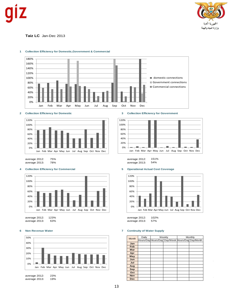



**Taiz LC** Jan-Dec 2013



### **1 Collection Efficiency for Domestic,Government & Commercial**





average 2013: 78% average 2013:

## **4 Collection Efficiency for Commercial 5 Operational Actual Cost Coverage**



average 2013: 63% average 2013: 57% average 2013: 57% average 2013: 57% average 2013: 57% average 2013:



average 2013: 19% **Dec**



average 2012: 75% average 2012: 151%



average 2012: 123% average 2012: 102%

|            | Daily | Weekly<br>Monthly |                                                  |  |  |
|------------|-------|-------------------|--------------------------------------------------|--|--|
| Month      |       |                   | Hours/Day Hours/Day Day/Week Hours/Day Day/Month |  |  |
| Jan        |       |                   |                                                  |  |  |
| Feb        |       |                   |                                                  |  |  |
| Mar        |       |                   |                                                  |  |  |
| Apr        |       |                   |                                                  |  |  |
| May        |       |                   |                                                  |  |  |
| Jun        |       |                   |                                                  |  |  |
| Jul        |       |                   |                                                  |  |  |
| Aug        |       |                   |                                                  |  |  |
| Sep        |       |                   |                                                  |  |  |
| Oct        |       |                   |                                                  |  |  |
| <b>Nov</b> |       |                   |                                                  |  |  |
| <b>Dec</b> |       |                   |                                                  |  |  |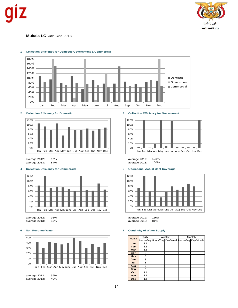

**Mukala LC** Jan-Dec 2013



## **1 Collection Efficiency for Domestic,Government & Commercial**



average 2013: 84% average 2013:

## **4 Collection Efficiency for Commercial 5 Operational Actual Cost Coverage**





**2 Collection Efficiency for Domestic 3 Collection Efficiency for Government**



average 2012: 92% average 2012: 123%



## **6 Non Revenue Water 7 Continuity of Water Supply**

average 2013:

| <b>Month</b> | Daily | Weekly<br>Monthly |                                                  |  |  |
|--------------|-------|-------------------|--------------------------------------------------|--|--|
|              |       |                   | Hours/Day Hours/Day Day/Week Hours/Day Day/Month |  |  |
| Jan          | 12    |                   |                                                  |  |  |
| Feb          | 12    |                   |                                                  |  |  |
| Mar          | 12    |                   |                                                  |  |  |
| Apr          | 8     |                   |                                                  |  |  |
| May          | 8     |                   |                                                  |  |  |
| Jun          | 8     |                   |                                                  |  |  |
| Jul          | 8     |                   |                                                  |  |  |
| Aug          | 8     |                   |                                                  |  |  |
| Sep          | 8     |                   |                                                  |  |  |
| Oct          | 12    |                   |                                                  |  |  |
| <b>Nov</b>   | 12    |                   |                                                  |  |  |
| <b>Dec</b>   | 12    |                   |                                                  |  |  |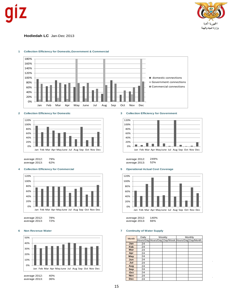

**Hodiedah LC** Jan-Dec 2013



### **1 Collection Efficiency for Domestic,Government & Commercial**



average 2012: 79% average 2012: 249% average 2013: 62% average 2013:

## **4 Collection Efficiency for Commercial 5 Operational Actual Cost Coverage**



average 2012: 78% average 2012: 140%



## **2 Collection Efficiency for Domestic 3 Collection Efficiency for Government**





average 2013:

| <b>Month</b> | Daily | Weekly                                           | Monthly |  |
|--------------|-------|--------------------------------------------------|---------|--|
|              |       | Hours/Day Hours/Day Day/Week Hours/Day Day/Month |         |  |
| Jan          | 24    |                                                  |         |  |
| Feb          | 24    |                                                  |         |  |
| Mar          | 24    |                                                  |         |  |
| Apr          | 24    |                                                  |         |  |
| May          | 24    |                                                  |         |  |
| Jun          | 24    |                                                  |         |  |
| Jul          | 24    |                                                  |         |  |
| Aug          | 24    |                                                  |         |  |
| Sep          | 24    |                                                  |         |  |
| Oct          | 24    |                                                  |         |  |
| <b>Nov</b>   | 24    |                                                  |         |  |
| <b>Dec</b>   | 24    |                                                  |         |  |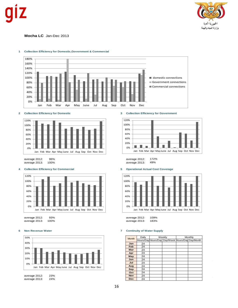

**Mocha LC** Jan-Dec 2013



### **1 Collection Efficiency for Domestic,Government & Commercial**





average 2013: 100% average 2013:

## **4 Collection Efficiency for Commercial 5 Operational Actual Cost Coverage**



average 2012: 93% average 2012: 109%





## **2 Collection Efficiency for Domestic 3 Collection Efficiency for Government**



average 2012: 96% average 2012: 172%



average 2013:

|              | Daily | Weekly                                           | Monthly |  |
|--------------|-------|--------------------------------------------------|---------|--|
| <b>Month</b> |       | Hours/Day Hours/Day Day/Week Hours/Day Day/Month |         |  |
| Jan          | 24    |                                                  |         |  |
| Feb          | 24    |                                                  |         |  |
| Mar          | 24    |                                                  |         |  |
| Apr          | 24    |                                                  |         |  |
| May          | 24    |                                                  |         |  |
| Jun          | 24    |                                                  |         |  |
| Jul          | 24    |                                                  |         |  |
| Aug          | 24    |                                                  |         |  |
| Sep          | 24    |                                                  |         |  |
| Oct          | 24    |                                                  |         |  |
| <b>Nov</b>   | 24    |                                                  |         |  |
| <b>Dec</b>   | 24    |                                                  |         |  |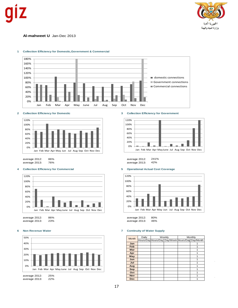



**Al-mahweet U** Jan-Dec 2013



## **1 Collection Efficiency for Domestic,Government & Commercial**

## **2 Collection Efficiency for Domestic 3 Collection Efficiency for Government**



average 2012: 86% average 2012: 241% average 2013: 76% 76% average 2013:

## **4 Collection Efficiency for Commercial 5 Operational Actual Cost Coverage**



average 2013: 23% 23% average 2013:







|              | Daily | Weekly |                                                  | Monthly |  |
|--------------|-------|--------|--------------------------------------------------|---------|--|
| <b>Month</b> |       |        | Hours/Day Hours/Day Day/Week Hours/Day Day/Month |         |  |
| Jan          |       |        |                                                  |         |  |
| Feb          |       |        |                                                  |         |  |
| Mar          |       |        |                                                  |         |  |
| Apr          |       |        |                                                  |         |  |
| May          |       |        |                                                  |         |  |
| Jun          |       |        |                                                  |         |  |
| Jul          |       |        |                                                  |         |  |
| Aug          |       |        |                                                  |         |  |
| Sep          |       |        |                                                  |         |  |
| Oct          |       |        |                                                  |         |  |
| <b>Nov</b>   |       |        |                                                  |         |  |
| Dec.         |       |        |                                                  |         |  |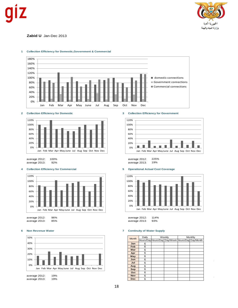



## **Zabid U** Jan-Dec 2013



### **1 Collection Efficiency for Domestic,Government & Commercial**





average 2012: 100% average 2012: 225% average 2013: 92% average 2013:

## **4 Collection Efficiency for Commercial 5 Operational Actual Cost Coverage**



average 2012: 96% average 2012: 114% average 2012: 114% average 2013: 93% average 2013: 85% average 2013: 93%

## **6 Non Revenue Water 7 Continuity of Water Supply**



## **2 Collection Efficiency for Domestic 3 Collection Efficiency for Government**





| <b>Month</b> | Daily | Weekly                                           | Monthly |  |
|--------------|-------|--------------------------------------------------|---------|--|
|              |       | Hours/Day Hours/Day Day/Week Hours/Day Day/Month |         |  |
| Jan          | 6     |                                                  |         |  |
| Feb          | 6     |                                                  |         |  |
| Mar          | 6     |                                                  |         |  |
| Apr          | 6     |                                                  |         |  |
| May          | 6     |                                                  |         |  |
| Jun          | 6     |                                                  |         |  |
| Jul          | 6     |                                                  |         |  |
| Aug          | 6     |                                                  |         |  |
| Sep          | 6     |                                                  |         |  |
| Oct          | 6     |                                                  |         |  |
| <b>Nov</b>   | 6     |                                                  |         |  |
| <b>Dec</b>   | 6     |                                                  |         |  |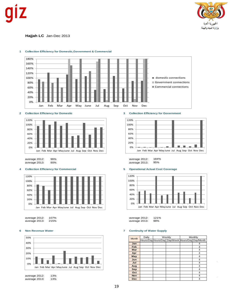

**Hajjah LC** Jan-Dec 2013



### **1 Collection Efficiency for Domestic,Government & Commercial**





average 2013: 90% average 2013:

## **4 Collection Efficiency for Commercial 5 Operational Actual Cost Coverage**



| average 2012: | 107% |
|---------------|------|
| average 2013: | 215% |





average 2012: 96% average 2012: 184%



| average 2012: 107% | average 2012: 121% |  |
|--------------------|--------------------|--|
| average 2013: 215% | average 2013: 98%  |  |

|              | Daily | Weekly                                           | Monthly |   |
|--------------|-------|--------------------------------------------------|---------|---|
| <b>Month</b> |       | Hours/Day Hours/Day Day/Week Hours/Day Day/Month |         |   |
| Jan          |       |                                                  |         | 4 |
| Feb          |       |                                                  |         | 4 |
| Mar          |       |                                                  |         | 4 |
| Apr          |       |                                                  |         | 4 |
| May          |       |                                                  |         | 4 |
| Jun          |       |                                                  |         | 4 |
| Jul          |       |                                                  |         | 4 |
| Aug          |       |                                                  |         | 4 |
| <b>Sep</b>   |       |                                                  |         | 4 |
| Oct          |       |                                                  |         | 4 |
| <b>Nov</b>   |       |                                                  |         | 4 |
| <b>Dec</b>   |       |                                                  |         | 4 |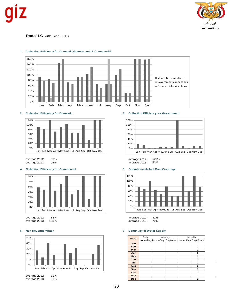

**Rada' LC** Jan-Dec 2013



### **1 Collection Efficiency for Domestic,Government & Commercial**





average 2012: 85% average 2012: 106%

## **4 Collection Efficiency for Commercial 5 Operational Actual Cost Coverage**



| average 2012: 88%  | average 2012: 81% |  |
|--------------------|-------------------|--|
| average 2013: 108% | average 2013: 79% |  |

## **6 Non Revenue Water 7 Continuity of Water Supply**



## **2 Collection Efficiency for Domestic 3 Collection Efficiency for Government**



average 2013:



| <b>Month</b> | Daily | Weekly |                                                  | Monthly |                |
|--------------|-------|--------|--------------------------------------------------|---------|----------------|
|              |       |        | Hours/Day Hours/Day Day/Week Hours/Day Day/Month |         |                |
| Jan          |       |        |                                                  |         | 2              |
| Feb          |       |        |                                                  |         | $\overline{2}$ |
| Mar          |       |        |                                                  |         | 2              |
| Apr          |       |        |                                                  |         | 2              |
| May          |       |        |                                                  |         | 2              |
| Jun          |       |        |                                                  |         | 2              |
| Jul          |       |        |                                                  |         | 2              |
| Aug          |       |        |                                                  |         | 2              |
| Sep          |       |        |                                                  |         | 2              |
| Oct          |       |        |                                                  |         | $\overline{2}$ |
| <b>Nov</b>   |       |        |                                                  |         | 2              |
| <b>Dec</b>   |       |        |                                                  |         | 2              |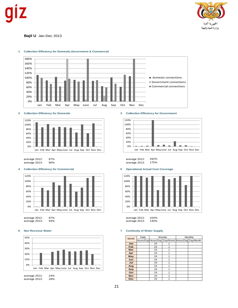



**Bajil U** Jan-Dec 2013



### **1 Collection Efficiency for Domestic,Government & Commercial**

## **2 Collection Efficiency for Domestic 3 Collection Efficiency for Government**



average 2012: 87% average 2012: 292% average 2013: 90% average 2013:

## **4 Collection Efficiency for Commercial 5 Operational Actual Cost Coverage**











average 2012: 87% average 2012: 104% average 2013:

| 104%<br>average 2012:<br>average 2013:<br>130% |                                   |    |                                                  |  |         |
|------------------------------------------------|-----------------------------------|----|--------------------------------------------------|--|---------|
|                                                | <b>Continuity of Water Supply</b> |    |                                                  |  |         |
|                                                | Daily                             |    | Weekly                                           |  | Monthly |
| <b>Month</b>                                   |                                   |    | Hours/Day Hours/Day Day/Week Hours/Day Day/Month |  |         |
| Jan                                            |                                   | 24 | 1                                                |  |         |
| Feb                                            |                                   | 24 | 1                                                |  |         |
| Mar                                            |                                   | 24 | 1                                                |  |         |
| Apr                                            |                                   | 24 | 1                                                |  |         |
| May                                            |                                   | 24 | 1                                                |  |         |
| Jun                                            |                                   | 24 | 1                                                |  |         |
| Jul                                            |                                   | 24 | 1                                                |  |         |
| Aug                                            |                                   | 24 | 1                                                |  |         |
| <b>Sep</b>                                     |                                   | 24 | 1                                                |  |         |
| Oct                                            |                                   | 24 | 1                                                |  |         |
| <b>Nov</b>                                     |                                   | 24 | 1                                                |  |         |
| <b>Dec</b>                                     |                                   | 24 | 1                                                |  |         |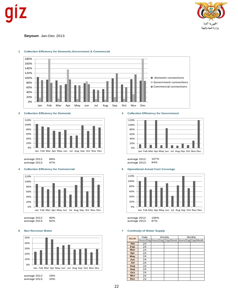



## **Seyoun** Jan-Dec 2013



### **1 Collection Efficiency for Domestic,Government & Commercial**



## **4 Collection Efficiency for Commercial 5 Operational Actual Cost Coverage**



average 2012: 90% average 2012: 106%



## **2 Collection Efficiency for Domestic 3 Collection Efficiency for Government**



average 2012: 88% average 2012: 167% average 2013:



## **6 Non Revenue Water 7 Continuity of Water Supply**

average 2013: 82% average 2013: 87%

| <b>Month</b> | Daily | Weekly                                           | Monthly |  |
|--------------|-------|--------------------------------------------------|---------|--|
|              |       | Hours/Day Hours/Day Day/Week Hours/Day Day/Month |         |  |
| Jan          | 24    |                                                  |         |  |
| Feb          | 24    |                                                  |         |  |
| Mar          | 24    |                                                  |         |  |
| Apr          | 24    |                                                  |         |  |
| May          | 24    |                                                  |         |  |
| Jun          | 24    |                                                  |         |  |
| Jul          | 24    |                                                  |         |  |
| Aug          | 24    |                                                  |         |  |
| Sep          | 24    |                                                  |         |  |
| Oct          | 24    |                                                  |         |  |
| <b>Nov</b>   | 24    |                                                  |         |  |
| Dec          | つん    |                                                  |         |  |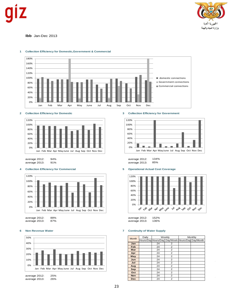



## **Ibb** Jan-Dec 2013



### **1 Collection Efficiency for Domestic,Government & Commercial**





## **4 Collection Efficiency for Commercial 5 Operational Actual Cost Coverage**



| average zu iz. | $00\%$ |
|----------------|--------|
| average 2013:  | 87%    |

## **6 Non Revenue Water 7 Continuity of Water Supply**





average 2012: 94% average 2012: 134% average 2013:



|              | average 2012: 152%                |    |                                                  |         |  |
|--------------|-----------------------------------|----|--------------------------------------------------|---------|--|
|              | average 2013: 136%                |    |                                                  |         |  |
|              | <b>Continuity of Water Supply</b> |    |                                                  |         |  |
| <b>Month</b> | Daily                             |    | Weekly                                           | Monthly |  |
|              |                                   |    | Hours/Day Hours/Day Day/Week Hours/Day Day/Month |         |  |
| Jan          |                                   | 24 | 2                                                |         |  |
| Feb          |                                   | 24 | 2                                                |         |  |
| Mar          |                                   | 24 | $\overline{2}$                                   |         |  |
| Apr          |                                   | 24 | 2                                                |         |  |
| May          |                                   | 24 | $\overline{2}$                                   |         |  |
| Jun          |                                   | 24 | $\overline{2}$                                   |         |  |
| Jul          |                                   | 24 | 2                                                |         |  |
| Aug          |                                   | 24 | $\overline{2}$                                   |         |  |
| Sep          |                                   | 24 | $\overline{2}$                                   |         |  |
| Oct          |                                   | 24 | 2                                                |         |  |
| <b>Nov</b>   |                                   | 24 | 2                                                |         |  |
| <b>Dec</b>   |                                   | 24 | $\overline{2}$                                   |         |  |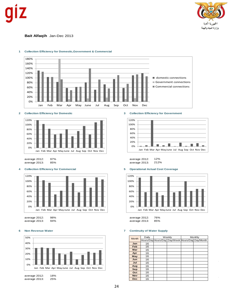



**Bait Alfaqih** Jan-Dec 2013



### **1 Collection Efficiency for Domestic,Government & Commercial**



average 2012: 97% average 2012: 12%

## **4 Collection Efficiency for Commercial 5 Operational Actual Cost Coverage**



| average 2012: | 98% | average 2012: |
|---------------|-----|---------------|
| average 2013: | 94% | average 2013: |

## **6 Non Revenue Water 7 Continuity of Water Supply**



## **2 Collection Efficiency for Domestic 3 Collection Efficiency for Government**



average 2013:



| <b>Month</b> | Daily | Weekly                                           | Monthly |
|--------------|-------|--------------------------------------------------|---------|
|              |       | Hours/Day Hours/Day Day/Week Hours/Day Day/Month |         |
| Jan          | 16    |                                                  |         |
| Feb          | 16    |                                                  |         |
| Mar          | 16    |                                                  |         |
| Apr          | 16    |                                                  |         |
| May          | 16    |                                                  |         |
| Jun          | 16    |                                                  |         |
| Jul          | 16    |                                                  |         |
| Aug          | 16    |                                                  |         |
| <b>Sep</b>   | 16    |                                                  |         |
| Oct          | 16    |                                                  |         |
| <b>Nov</b>   | 16    |                                                  |         |
| <b>Dec</b>   | 16    |                                                  |         |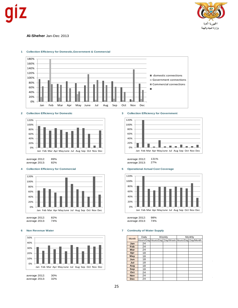



## **Al-Sheher** Jan-Dec 2013



### **1 Collection Efficiency for Domestic,Government & Commercial**



average 2012: 89% average 2012: 131% average 2013: 82% 2013: 27% average 2013:

## **4 Collection Efficiency for Commercial 5 Operational Actual Cost Coverage**



average 2012: 82% average 2012: 98%



## **2 Collection Efficiency for Domestic 3 Collection Efficiency for Government**





average 2013:

|              | Daily | Weekly                                           | Monthly |
|--------------|-------|--------------------------------------------------|---------|
| <b>Month</b> |       | Hours/Day Hours/Day Day/Week Hours/Day Day/Month |         |
| Jan          | 24    |                                                  |         |
| Feb          | 24    |                                                  |         |
| Mar          | 24    |                                                  |         |
| Apr          | 18    |                                                  |         |
| May          | 18    |                                                  |         |
| Jun          | 18    |                                                  |         |
| Jul          | 18    |                                                  |         |
| Aug          | 18    |                                                  |         |
| Sep          | 18    |                                                  |         |
| Oct          | 24    |                                                  |         |
| <b>Nov</b>   | 24    |                                                  |         |
| <b>Dec</b>   | 24    |                                                  |         |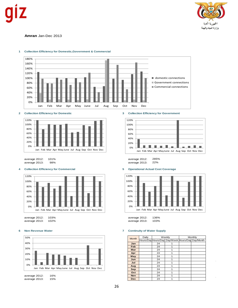



### **Amran** Jan-Dec 2013



## **1 Collection Efficiency for Domestic,Government & Commercial**





average 2012: 101% average 2012: 285% average 2013: 98% average 2013:

## **4 Collection Efficiency for Commercial 5 Operational Actual Cost Coverage**



average 2012: 103% average 2012: 136%







## **6 Non Revenue Water 7 Continuity of Water Supply**

| average 2012: 136%                                              |               |      |                                                  |  |  |  |  |  |
|-----------------------------------------------------------------|---------------|------|--------------------------------------------------|--|--|--|--|--|
|                                                                 |               |      |                                                  |  |  |  |  |  |
|                                                                 | average 2013: | 103% |                                                  |  |  |  |  |  |
| <b>Continuity of Water Supply</b><br>Weekly<br>Daily<br>Monthly |               |      |                                                  |  |  |  |  |  |
| <b>Month</b>                                                    |               |      |                                                  |  |  |  |  |  |
|                                                                 |               |      | Hours/Day Hours/Day Day/Week Hours/Day Day/Month |  |  |  |  |  |
| Jan                                                             |               | 24   | 1                                                |  |  |  |  |  |
| Feb                                                             |               | 24   | 1                                                |  |  |  |  |  |
| Mar                                                             |               | 24   | 1                                                |  |  |  |  |  |
| Apr                                                             |               | 24   | 1                                                |  |  |  |  |  |
| May                                                             |               | 24   | 1                                                |  |  |  |  |  |
| Jun                                                             |               | 24   | 1                                                |  |  |  |  |  |
| Jul                                                             |               | 24   | 1                                                |  |  |  |  |  |
| Aug                                                             |               | 24   | 1                                                |  |  |  |  |  |
| Sep                                                             |               | 24   | 1                                                |  |  |  |  |  |
| Oct                                                             |               | 24   | 1                                                |  |  |  |  |  |
| <b>Nov</b>                                                      |               | 24   | 1                                                |  |  |  |  |  |
| <b>Dec</b>                                                      |               | 24   | 1                                                |  |  |  |  |  |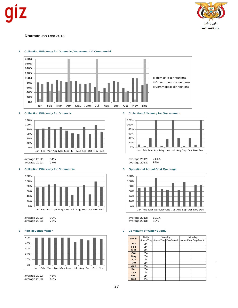



## **Dhamar** Jan-Dec 2013



### **1 Collection Efficiency for Domestic,Government & Commercial**





average 2013: 97% 300 average 2013:

## **4 Collection Efficiency for Commercial 5 Operational Actual Cost Coverage**



average 2012: 80% average 2012: 101%

## **6 Non Revenue Water 7 Continuity of Water Supply**





average 2012: 84% average 2012: 214%



average 2013:

| <b>Month</b> | Daily | Weekly                                           | Monthly |
|--------------|-------|--------------------------------------------------|---------|
|              |       | Hours/Day Hours/Day Day/Week Hours/Day Day/Month |         |
| Jan          | 24    |                                                  |         |
| Feb          | 24    |                                                  |         |
| Mar          | 24    |                                                  |         |
| Apr          | 24    |                                                  |         |
| May          | 24    |                                                  |         |
| Jun          | 24    |                                                  |         |
| Jul          | 24    |                                                  |         |
| Aug          | 24    |                                                  |         |
| Sep          | 24    |                                                  |         |
| Oct          | 24    |                                                  |         |
| <b>Nov</b>   | 24    |                                                  |         |
| <b>Dec</b>   | 24    |                                                  |         |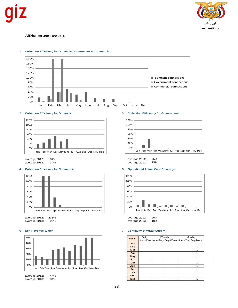



## **AlDhalea** Jan-Dec 2013



### **1 Collection Efficiency for Domestic,Government & Commercial**



average 2012: 34% average 2012: 55%

## **4 Collection Efficiency for Commercial 5 Operational Actual Cost Coverage**





## **2 Collection Efficiency for Domestic 3 Collection Efficiency for Government**



average 2013: 34% average 2013: 25%



# average 2013: 10%

| <b>Month</b> | Daily | Weekly                                           | Monthly |  |  |
|--------------|-------|--------------------------------------------------|---------|--|--|
|              |       | Hours/Day Hours/Day Day/Week Hours/Day Day/Month |         |  |  |
| Jan          |       |                                                  |         |  |  |
| Feb          |       |                                                  |         |  |  |
| Mar          |       |                                                  |         |  |  |
| Apr          |       |                                                  |         |  |  |
| May          |       |                                                  |         |  |  |
| Jun          |       |                                                  |         |  |  |
| Jul          |       |                                                  |         |  |  |
| Aug          |       |                                                  |         |  |  |
| Sep          |       |                                                  |         |  |  |
| Oct          |       |                                                  |         |  |  |
| <b>Nov</b>   |       |                                                  |         |  |  |
| <b>Dec</b>   |       |                                                  |         |  |  |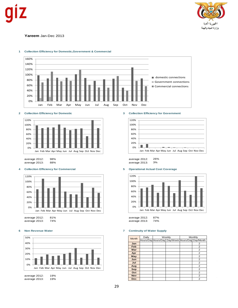



## **Yareem** Jan-Dec 2013



### **1 Collection Efficiency for Domestic,Government & Commercial**



average 2012: 98% average 2012: 26%

## **4 Collection Efficiency for Commercial 5 Operational Actual Cost Coverage**



average 2012: 81% average 2012: 87%

## **6 Non Revenue Water 7 Continuity of Water Supply**



## **2 Collection Efficiency for Domestic 3 Collection Efficiency for Government**



88% average 2013:



average 2013:

|              | Daily | Weekly                                           | Monthly |                |  |
|--------------|-------|--------------------------------------------------|---------|----------------|--|
| <b>Month</b> |       | Hours/Day Hours/Day Day/Week Hours/Day Day/Month |         |                |  |
| Jan          |       |                                                  |         | 2              |  |
| Feb          |       |                                                  |         | 2              |  |
| Mar          |       |                                                  |         | 2              |  |
| Apr          |       |                                                  |         | 2              |  |
| May          |       |                                                  |         | $\overline{2}$ |  |
| Jun          |       |                                                  |         | 2              |  |
| Jul          |       |                                                  |         | 2              |  |
| Aug          |       |                                                  |         | 2              |  |
| Sep          |       |                                                  |         | 2              |  |
| Oct          |       |                                                  |         | 2              |  |
| <b>Nov</b>   |       |                                                  |         | $\overline{2}$ |  |
| Dec.         |       |                                                  |         | 2              |  |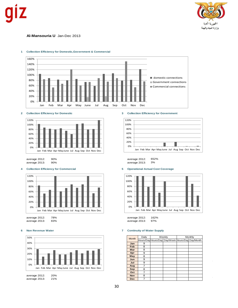



## **Al-Mansouria U** Jan-Dec 2013



### **1 Collection Efficiency for Domestic,Government & Commercial**



average 2012: 90% average 2012: 652% average 2013: 90% 300 average 2013:

## **4 Collection Efficiency for Commercial 5 Operational Actual Cost Coverage**



average 2012: 78% average 2012: 162%



## **2 Collection Efficiency for Domestic 3 Collection Efficiency for Government**





average 2013:

| <b>Month</b> | Daily | Weekly                                           | Monthly |  |  |
|--------------|-------|--------------------------------------------------|---------|--|--|
|              |       | Hours/Day Hours/Day Day/Week Hours/Day Day/Month |         |  |  |
| Jan          | 9     |                                                  |         |  |  |
| Feb          | 8     |                                                  |         |  |  |
| Mar          | 8     |                                                  |         |  |  |
| Apr          | 9     |                                                  |         |  |  |
| May          | 8     |                                                  |         |  |  |
| Jun          | 9     |                                                  |         |  |  |
| Jul          | 9     |                                                  |         |  |  |
| Aug          | 7     |                                                  |         |  |  |
| Sep          | 8     |                                                  |         |  |  |
| Oct          | 7     |                                                  |         |  |  |
| <b>Nov</b>   | 8     |                                                  |         |  |  |
| <b>Dec</b>   | 7     |                                                  |         |  |  |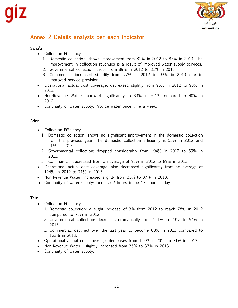

# Annex 2 Details analysis per each indicator

# Sana'a

- Collection Efficiency
	- 1. Domestic collection: shows improvement from 81% in 2012 to 87% in 2013. The improvement in collection revenues is a result of improved water supply services.
	- 2. Governmental collection: drops from 89% in 2012 to 81% in 2013.
	- 3. Commercial: increased steadily from 77% in 2012 to 93% in 2013 due to improved service provision.
- Operational actual cost coverage: decreased slightly from 93% in 2012 to 90% in 2013.
- Non-Revenue Water: improved significantly to 33% in 2013 compared to 40% in 2012.
- Continuity of water supply: Provide water once time a week.

## Aden

- Collection Efficiency
	- 1. Domestic collection: shows no significant improvement in the domestic collection from the previous year. The domestic collection efficiency is 53% in 2012 and 51% in 2013.
	- 2. Governmental collection: dropped considerably from 194% in 2012 to 59% in 2013.
	- 3. Commercial: decreased from an average of 93% in 2012 to 89% in 2013.
- Operational actual cost coverage: also decreased significantly from an average of 124% in 2012 to 71% in 2013.
- Non-Revenue Water: increased slightly from 35% to 37% in 2013.
- Continuity of water supply: increase 2 hours to be 17 hours a day.

# **Taiz**

- Collection Efficiency
	- 1. Domestic collection: A slight increase of 3% from 2012 to reach 78% in 2012 compared to 75% in 2012.
	- 2. Governmental collection: decreases dramatically from 151% in 2012 to 54% in 2013.
	- 3. Commercial: declined over the last year to become 63% in 2013 compared to 123% in 2012.
- Operational actual cost coverage: decreases from 124% in 2012 to 71% in 2013.
- Non-Revenue Water: slightly increased from 35% to 37% in 2013.
- Continuity of water supply: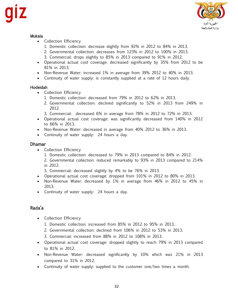

## Mukala

- Collection Efficiency
	- 1. Domestic collection: decrease slightly from 92% in 2012 to 84% in 2013.
	- 2. Governmental collection: decreases from 123% in 2012 to 100% in 2013.
	- 3. Commercial: drops slightly to 85% in 2013 compared to 91% in 2012.
- Operational actual cost coverage: decreased significantly by 35% from 2012 to be 81% in 2013.
- Non-Revenue Water: increased 1% in average from 39% 2012 to 40% in 2013.
- Continuity of water supply: is constantly supplied at a rate of 12 hours daily.

## Hodeidah

- Collection Efficiency
	- 1. Domestic collection: decreased from 79% in 2012 to 62% in 2013.
	- 2. Governmental collection: declined significantly to 52% in 2013 from 249% in 2012.
	- 3. Commercial: decreased 6% in average from 78% in 2012 to 72% in 2013.
- Operational actual cost coverage: was significantly decreased from 140% in 2012 to 66% in 2013.
- Non-Revenue Water: decreased in average from 40% 2012 to 36% in 2013.
- Continuity of water supply: 24 hours a day.

# Dhamar

- Collection Efficiency
	- 1. Domestic collection: decreased to 79% in 2013 compared to 84% in 2012.
	- 2. Governmental collection: reduced remarkably to 93% in 2013 compared to 214% in 2012.
	- 3. Commercial: decreased slightly by 4% to be 76% in 2013.
- Operational actual cost coverage: dropped from 101% in 2012 to 80% in 2013.
- Non-Revenue Water: decreased by 1% in average from 46% in 2012 to 45% in 2013.
- Continuity of water supply: 24 hours a day.

# Rada'a

- Collection Efficiency
	- 1. Domestic collection: increased from 85% in 2012 to 95% in 2013..
	- 2. Governmental collection: declined from 106% in 2012 to 53% in 2013.
	- 3. Commercial: increased from 88% in 2012 to 108% in 2013.
- Operational actual cost coverage: dropped slightly to reach 79% in 2013 compared to 81% in 2012.
- Non-Revenue Water: decreased significantly by 10% which was 21% in 2013 compared to 31% in 2012.
- Continuity of water supply: supplied to the customer one/two times a month.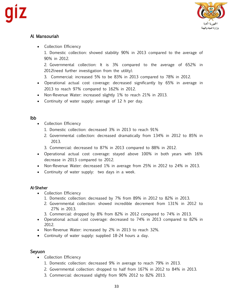

# Al Mansouriah

- Collection Efficiency
	- 1. Domestic collection: showed stability 90% in 2013 compared to the average of 90% in 2012.

2. Governmental collection: It is 3% compared to the average of 652% in 2012(need further investigation from the utility).

- 3. Commercial: increased 5% to be 83% in 2013 compared to 78% in 2012.
- Operational actual cost coverage: decreased significantly by 65% in average in 2013 to reach 97% compared to 162% in 2012.
- Non-Revenue Water: increased slightly 1% to reach 21% in 2013.
- Continuity of water supply: average of 12 h per day.

# Ibb

- Collection Efficiency
	- 1. Domestic collection: decreased 3% in 2013 to reach 91%
	- 2. Governmental collection: decreased dramatically from 134% in 2012 to 85% in 2013.
	- 3. Commercial: decreased to 87% in 2013 compared to 88% in 2012.
- Operational actual cost coverage: stayed above 100% in both years with 16% decrease in 2013 compared to 2012.
- Non-Revenue Water: decreased 1% in average from 25% in 2012 to 24% in 2013.
- Continuity of water supply: two days in a week.

# Al-Sheher

- Collection Efficiency
	- 1. Domestic collection: decreased by 7% from 89% in 2012 to 82% in 2013.
	- 2. Governmental collection: showed incredible decrement from 131% in 2012 to 27% in 2013.
	- 3. Commercial: dropped by 8% from 82% in 2012 compared to 74% in 2013.
- Operational actual cost coverage: decreased to 74% in 2013 compared to 82% in 2012.
- Non-Revenue Water: increased by 2% in 2013 to reach 32%.
- Continuity of water supply: supplied 18-24 hours a day.

# Seyuon

- Collection Efficiency
	- 1. Domestic collection: decreased 9% in average to reach 79% in 2013.
	- 2. Governmental collection: dropped to half from 167% in 2012 to 84% in 2013.
	- 3. Commercial: decreased slightly from 90% 2012 to 82% 2013.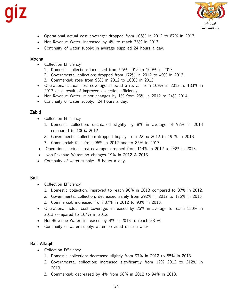

- Operational actual cost coverage: dropped from 106% in 2012 to 87% in 2013.
- Non-Revenue Water: increased by 4% to reach 33% in 2013.
- Continuity of water supply: in average supplied 24 hours a day.

## Mocha

- Collection Efficiency
	- 1. Domestic collection: increased from 96% 2012 to 100% in 2013.
	- 2. Governmental collection: dropped from 172% in 2012 to 49% in 2013.
	- 3. Commercial: rose from 93% in 2012 to 100% in 2013.
- Operational actual cost coverage: showed a revival from 109% in 2012 to 183% in 2013 as a result of improved collection efficiency.
- Non-Revenue Water: minor changes by 1% from 23% in 2012 to 24% 2014.
- Continuity of water supply: 24 hours a day.

# Zabid

- Collection Efficiency
	- 1. Domestic collection: decreased slightly by 8% in average of 92% in 2013 compared to 100% 2012.
	- 2. Governmental collection: dropped hugely from 225% 2012 to 19 % in 2013.
	- 3. Commercial: falls from 96% in 2012 and to 85% in 2013.
- Operational actual cost coverage: dropped from 114% in 2012 to 93% in 2013.
- Non-Revenue Water: no changes 19% in 2012 & 2013.
- Continuity of water supply: 6 hours a day.

# Bajil

- Collection Efficiency
	- 1. Domestic collection: improved to reach 90% in 2013 compared to 87% in 2012.
	- 2. Governmental collection: decreased safely from 292% in 2012 to 175% in 2013.
	- 3. Commercial: increased from 87% in 2012 to 93% in 2013.
- Operational actual cost coverage: increased by 26% in average to reach 130% in 2013 compared to 104% in 2012.
- Non-Revenue Water: increased by 4% in 2013 to reach 28 %.
- Continuity of water supply: water provided once a week.

# Bait Alfaqih

- Collection Efficiency
	- 1. Domestic collection: decreased slightly from 97% in 2012 to 85% in 2013.
	- 2. Governmental collection: increased significantly from 12% 2012 to 212% in 2013.
	- 3. Commercial: decreased by 4% from 98% in 2012 to 94% in 2013.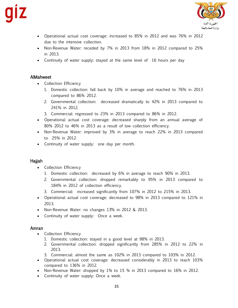

- Operational actual cost coverage: increased to 85% in 2012 and was 76% in 2012 due to the intensive collection.
- Non-Revenue Water: receded by 7% in 2013 from 18% in 2012 compared to 25% in 2013.
- Continuity of water supply: stayed at the same level of 16 hours per day

# AlMahweet

- Collection Efficiency
	- 1. Domestic collection: fall back by 10% in average and reached to 76% in 2013 compared to 86% 2012.
	- 2. Governmental collection: decreased dramatically to 42% in 2013 compared to 241% in 2012.
	- 3. Commercial: regressed to 23% in 2013 compared to 86% in 2012.
- Operational actual cost coverage: decreased sharply from an annual average of 80% 2012 to 46% in 2013 as a result of low collection efficiency.
- Non-Revenue Water: improved by 3% in average to reach 22% in 2013 compared to 25% in 2012
- Continuity of water supply: one day per month.

# Hajjah

- Collection Efficiency
	- 1. Domestic collection: decreased by 6% in average to reach 90% in 2013.
	- 2. Governmental collection: dropped remarkably to 95% in 2013 compared to 184% in 2012 of collection efficiency.
	- 3. Commercial: increased significantly from 107% in 2012 to 215% in 2013.
- Operational actual cost coverage: decreased to 98% in 2013 compared to 121% in 2013.
- Non-Revenue Water: no changes 13% in 2012 & 2013.
- Continuity of water supply: Once a week.

# Amran

- Collection Efficiency
	- 1. Domestic collection: stayed in a good level at 98% in 2013.
	- 2. Governmental collection: dropped significantly from 285% in 2012 to 22% in 2013.
	- 3. Commercial: almost the same as 102% in 2013 compared to 103% in 2012.
- Operational actual cost coverage: decreased considerably in 2013 to reach 103% compared to 136% in 2012.
- Non-Revenue Water: dropped by 1% to 15 % in 2013 compared to 16% in 2012.
- Continuity of water supply: Once a week.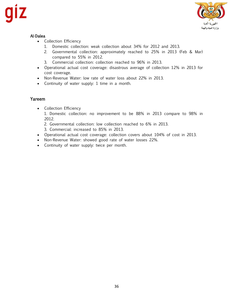

# Al-Dalea

- Collection Efficiency
	- 1. Domestic collection: weak collection about 34% for 2012 and 2013.
	- 2. Governmental collection: approximately reached to 25% in 2013 (Feb & Mar) compared to 55% in 2012.
	- 3. Commercial collection: collection reached to 96% in 2013.
- Operational actual cost coverage: disastrous average of collection 12% in 2013 for cost coverage.
- Non-Revenue Water: low rate of water loss about 22% in 2013.
- Continuity of water supply: 1 time in a month.

# Yareem

• Collection Efficiency

1. Domestic collection: no improvement to be 88% in 2013 compare to 98% in 2012.

- 2. Governmental collection: low collection reached to 6% in 2013.
- 3. Commercial: increased to 85% in 2013.
- Operational actual cost coverage: collection covers about 104% of cost in 2013.
- Non-Revenue Water: showed good rate of water losses 22%.
- Continuity of water supply: twice per month.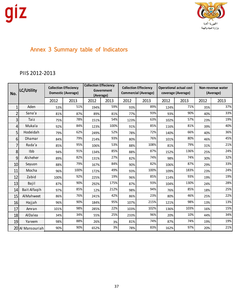

# Annex 3 Summary table of Indicators

# PIIS 2012-2013

| No.            | LC/Utility       |      | <b>Collection Effeciency</b><br><b>Domestic (Average)</b> |      | <b>Collection Effeciency</b><br>Government<br>(Average) |      | <b>Collection Effeciency</b><br><b>Commercial (Average)</b> | <b>Operational actual cost</b><br>coverage (Average) |      |      | Non-revenue water<br>(Average) |
|----------------|------------------|------|-----------------------------------------------------------|------|---------------------------------------------------------|------|-------------------------------------------------------------|------------------------------------------------------|------|------|--------------------------------|
|                |                  | 2012 | 2013                                                      | 2012 | 2013                                                    | 2012 | 2013                                                        | 2012                                                 | 2013 | 2012 | 2013                           |
|                | Aden             | 53%  | 51%                                                       | 194% | 59%                                                     | 93%  | 89%                                                         | 124%                                                 | 71%  | 35%  | 37%                            |
| $\overline{2}$ | Sana'a           | 81%  | 87%                                                       | 89%  | 81%                                                     | 77%  | 93%                                                         | 93%                                                  | 90%  | 40%  | 33%                            |
| 3              | Taiz             | 75%  | 78%                                                       | 151% | 54%                                                     | 123% | 63%                                                         | 102%                                                 | 57%  | 23%  | 19%                            |
| 4              | Mukala           | 92%  | 84%                                                       | 123% | 100%                                                    | 91%  | 85%                                                         | 116%                                                 | 81%  | 39%  | 40%                            |
| 5              | Hodeidah         | 79%  | 62%                                                       | 249% | 52%                                                     | 78%  | 72%                                                         | 140%                                                 | 66%  | 40%  | 36%                            |
| 6 <sup>1</sup> | Dhamar           | 84%  | 79%                                                       | 214% | 93%                                                     | 80%  | 76%                                                         | 101%                                                 | 80%  | 46%  | 45%                            |
| 7              | Rada'a           | 85%  | 95%                                                       | 106% | 53%                                                     | 88%  | 108%                                                        | 81%                                                  | 79%  | 31%  | 21%                            |
| 8              | Ibb              | 94%  | 91%                                                       | 134% | 85%                                                     | 88%  | 87%                                                         | 152%                                                 | 136% | 25%  | 24%                            |
| 9              | Alsheher         | 89%  | 82%                                                       | 131% | 27%                                                     | 82%  | 74%                                                         | 98%                                                  | 74%  | 30%  | 32%                            |
| 10             | Seyuon           | 88%  | 79%                                                       | 167% | 84%                                                     | 90%  | 82%                                                         | 106%                                                 | 87%  | 29%  | 33%                            |
| 11             | Mocha            | 96%  | 100%                                                      | 172% | 49%                                                     | 93%  | 100%                                                        | 109%                                                 | 183% | 23%  | 24%                            |
| 12             | Zabid            | 100% | 92%                                                       | 225% | 19%                                                     | 96%  | 85%                                                         | 114%                                                 | 93%  | 19%  | 19%                            |
| 13             | Bajil            | 87%  | 90%                                                       | 292% | 175%                                                    | 87%  | 93%                                                         | 104%                                                 | 130% | 24%  | 28%                            |
| 14             | Bait Alfaqih     | 97%  | 85%                                                       | 12%  | 212%                                                    | 98%  | 94%                                                         | 76%                                                  | 85%  | 18%  | 25%                            |
| 15             | AlMahweet        | 86%  | 76%                                                       | 241% | 42%                                                     | 86%  | 23%                                                         | 80%                                                  | 46%  | 25%  | 22%                            |
| 16             | Hajjah           | 96%  | 90%                                                       | 184% | 95%                                                     | 107% | 215%                                                        | 121%                                                 | 98%  | 13%  | 13%                            |
| 17             | Amran            | 101% | 98%                                                       | 285% | 22%                                                     | 103% | 102%                                                        | 136%                                                 | 103% | 16%  | 15%                            |
| 18             | <b>AlDalea</b>   | 34%  | 34%                                                       | 55%  | 25%                                                     | 233% | 96%                                                         | 20%                                                  | 10%  | 44%  | 34%                            |
| 19             | Yareem           | 98%  | 88%                                                       | 26%  | 3%                                                      | 81%  | 74%                                                         | 87%                                                  | 74%  | 19%  | 19%                            |
|                | 20 Al Mansouriah | 90%  | 90%                                                       | 652% | 3%                                                      | 78%  | 83%                                                         | 162%                                                 | 97%  | 20%  | 21%                            |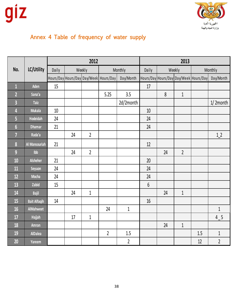

# Annex 4 Table of frequency of water supply

|                         |                     | 2012   |        |                |                                          |                | 2013  |        |                |     |                                                      |
|-------------------------|---------------------|--------|--------|----------------|------------------------------------------|----------------|-------|--------|----------------|-----|------------------------------------------------------|
| No.                     | LC/Utility          | Daily  | Weekly |                |                                          | Monthly        | Daily | Weekly |                |     | Monthly                                              |
|                         |                     |        |        |                | Hours/Day Hours/Day Day/Week   Hours/Day | Day/Month      |       |        |                |     | Hours/Day Hours/Day Day/Week   Hours/Day   Day/Month |
| $\overline{1}$          | Aden                | 15     |        |                |                                          |                | 17    |        |                |     |                                                      |
| $\overline{2}$          | Sana'a              |        |        |                | 5.25                                     | 3.5            |       | $8\,$  | $\mathbf{1}$   |     |                                                      |
| $\overline{\mathbf{3}}$ | <b>Taiz</b>         |        |        |                |                                          | 2d/2month      |       |        |                |     | $1/2$ month                                          |
| 4                       | <b>Mukala</b>       | $10\,$ |        |                |                                          |                | 10    |        |                |     |                                                      |
| 5                       | <b>Hodeidah</b>     | 24     |        |                |                                          |                | 24    |        |                |     |                                                      |
| $6\phantom{1}6$         | <b>Dhamar</b>       | 21     |        |                |                                          |                | 24    |        |                |     |                                                      |
| $\overline{7}$          | Rada'a              |        | 24     | $\overline{2}$ |                                          |                |       |        |                |     | 1 <sub>2</sub>                                       |
| $\boldsymbol{8}$        | Al Mansouriah       | 21     |        |                |                                          |                | 12    |        |                |     |                                                      |
| $\overline{9}$          | $I$ <sub>b</sub>    |        | 24     | $\overline{2}$ |                                          |                |       | 24     | $\overline{2}$ |     |                                                      |
| 10                      | Alsheher            | 21     |        |                |                                          |                | 20    |        |                |     |                                                      |
| 11                      | Seyuon              | 24     |        |                |                                          |                | 24    |        |                |     |                                                      |
| 12                      | <b>Mocha</b>        | 24     |        |                |                                          |                | 24    |        |                |     |                                                      |
| 13                      | Zabid               | 15     |        |                |                                          |                | 6     |        |                |     |                                                      |
| 14                      | <b>Bajil</b>        |        | 24     | $\,1\,$        |                                          |                |       | 24     | $\mathbf{1}$   |     |                                                      |
| 15                      | <b>Bait Alfaqih</b> | 14     |        |                |                                          |                | 16    |        |                |     |                                                      |
| 16                      | AlMahweet           |        |        |                | 24                                       | $\mathbf{1}$   |       |        |                |     | $\mathbf{1}$                                         |
| 17                      | <b>Hajjah</b>       |        | 17     | $\,1\,$        |                                          |                |       |        |                |     | 4 5                                                  |
| 18                      | Amran               |        |        |                |                                          |                |       | 24     | $\mathbf{1}$   |     |                                                      |
| 19                      | <b>AlDalea</b>      |        |        |                | $\overline{2}$                           | $1.5\,$        |       |        |                | 1.5 | $1\,$                                                |
| 20                      | Yareem              |        |        |                |                                          | $\overline{2}$ |       |        |                | 12  | $\overline{2}$                                       |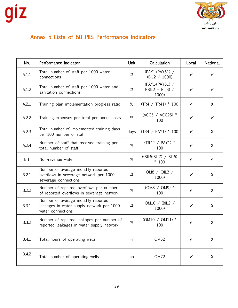

# Annex 5 Lists of 60 PIIS Performance Indicators

| No.          | Performance Indicator                                                                                | <b>Unit</b> | Calculation                                   | Local        | <b>National</b> |
|--------------|------------------------------------------------------------------------------------------------------|-------------|-----------------------------------------------|--------------|-----------------|
| A.1.1        | Total number of staff per 1000 water<br>connections                                                  | $\sharp$    | (PAY1+PAY51) /<br>(BIL2 / 1000)               | ✓            | ✓               |
| A.1.2        | Total number of staff per 1000 water and<br>sanitation connections                                   | #           | (PAY1+PAY51) /<br>$((BIL2 + BIL3) /$<br>1000) | $\checkmark$ | ✓               |
| A.2.1        | Training plan implementation progress ratio                                                          | %           | $(TR4 / TR41) * 100$                          | ✓            | X               |
| A.2.2        | Training expenses per total personnel costs                                                          | %           | (ACC5 / ACC25) *<br>100                       | $\checkmark$ | $\checkmark$    |
| A.2.3        | Total number of implemented training days<br>per 100 number of staff                                 | days        | (TR4 / PAY1) * 100                            | ✓            | X               |
| A.2.4        | Number of staff that received training per<br>total number of staff                                  | %           | (TR42 / PAY1) *<br>100                        | $\checkmark$ | $\mathsf{X}$    |
| B.1          | Non-revenue water                                                                                    | %           | $((BIL6-BIL7) / BIL6)$<br>$*100$              | $\checkmark$ | ✓               |
| B.2.1        | Number of average monthly reported<br>overflows in sewerage network per 1000<br>sewerage connections | #           | OM8 / (BIL3 /<br>1000)                        | ✓            | X               |
| B.2.2        | Number of repaired overflows per number<br>of reported overflows in sewerage network                 | %           | (OM8 / OM9) *<br>100                          | $\checkmark$ | X               |
| <b>B.3.1</b> | Number of average monthly reported<br>leakages in water supply network per 1000<br>water connections | #           | OM10 / (BIL2 /<br>1000)                       | $\checkmark$ | X               |
| B.3.2        | Number of repaired leakages per number of<br>reported leakages in water supply network               | %           | $(OM10 / OM11)$ *<br>100                      | ✓            | X               |
| <b>B.4.1</b> | Total hours of operating wells                                                                       | Hr          | OM <sub>52</sub>                              | ✓            | X               |
| <b>B.4.2</b> | Total number of operating wells                                                                      | no          | OM72                                          | ✔            | X               |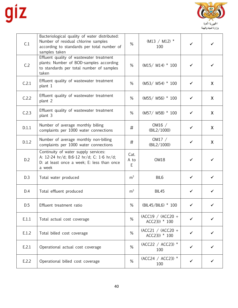

| C.1   | Bacteriological quality of water distributed:<br>Number of residual chlorine samples<br>according to standards per total number of<br>samples taken | %                 | $(M13 / M12)$ *<br>100               | ✓            |                  |
|-------|-----------------------------------------------------------------------------------------------------------------------------------------------------|-------------------|--------------------------------------|--------------|------------------|
| C.2   | Effluent quality of wastewater treatment<br>plants: Number of BOD-samples according<br>to standards per total number of samples<br>taken            | %                 | $(M15/M14) * 100$                    | ✔            | ✓                |
| C.2.1 | Effluent quality of wastewater treatment<br>plant 1                                                                                                 | %                 | (M53/ M54) * 100                     | ✓            | X                |
| C.2.2 | Effluent quality of wastewater treatment<br>plant 2                                                                                                 | %                 | (M55/ M56) * 100                     | $\checkmark$ | $\mathsf{X}$     |
| C.2.3 | Effluent quality of wastewater treatment<br>plant 3                                                                                                 | %                 | (M57/ M58) * 100                     | ✓            | $\mathsf{X}$     |
| D.1.1 | Number of average monthly billing<br>complaints per 1000 water connections                                                                          | #                 | OM16 $/$<br>(BIL2/1000)              | ✓            | $\mathsf{X}$     |
| D.1.2 | Number of average monthly non-billing<br>complaints per 1000 water connections                                                                      | #                 | OM17 $/$<br>(BIL2/1000)              | ✓            | $\boldsymbol{X}$ |
| D.2   | Continuity of water supply services:<br>A: 12-24 hr/d; B:6-12 hr/d; C: 1-6 hr/d;<br>D: at least once a week; E: less than once<br>a week            | Cat.<br>A to<br>E | OM18                                 | $\checkmark$ | $\checkmark$     |
| D.3   | Total water produced                                                                                                                                | m <sup>3</sup>    | BIL <sub>6</sub>                     | $\checkmark$ | ✓                |
| D.4   | Total effluent produced                                                                                                                             | m <sup>3</sup>    | <b>BIL45</b>                         | $\checkmark$ | ✓                |
| D.5   | Effluent treatment ratio                                                                                                                            | %                 | (BIL45/BIL6) * 100                   | ✔            |                  |
| E.1.1 | Total actual cost coverage                                                                                                                          | %                 | (ACC19 / (ACC20 +<br>$ACC23)$ * 100  |              |                  |
| E.1.2 | Total billed cost coverage                                                                                                                          | %                 | $(ACC21 / (ACC20 +$<br>ACC23)) * 100 | ✓            |                  |
| E.2.1 | Operational actual cost coverage                                                                                                                    | %                 | (ACC22 / ACC23) *<br>100             | ✓            |                  |
| E.2.2 | Operational billed cost coverage                                                                                                                    | %                 | (ACC24 / ACC23) *<br>100             |              |                  |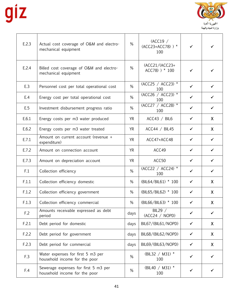$\mathbf{r}$ 



| E.2.3 | Actual cost coverage of O&M and electro-<br>mechanical equipment      | %         | (ACC19/<br>$(ACC23+ACC78)$ ) *<br>100 | $\checkmark$ |              |
|-------|-----------------------------------------------------------------------|-----------|---------------------------------------|--------------|--------------|
| E.2.4 | Billed cost coverage of O&M and electro-<br>mechanical equipment      | %         | $(ACC21/(ACC23+)$<br>$ACC78)$ ) * 100 | ✓            |              |
| E.3   | Personnel cost per total operational cost                             | %         | (ACC25 / ACC23) *<br>100              | $\checkmark$ | ✓            |
| E.4   | Energy cost per total operational cost                                | %         | (ACC26 / ACC23) *<br>100              | $\checkmark$ | $\checkmark$ |
| E.5   | Investment disbursement progress ratio                                | %         | (ACC27 / ACC28) *<br>100              | $\checkmark$ | ✓            |
| E.6.1 | Energy costs per m3 water produced                                    | <b>YR</b> | ACC43 / BIL6                          | $\checkmark$ | $\mathsf{X}$ |
| E.6.2 | Energy costs per m3 water treated                                     | <b>YR</b> | ACC44 / BIL45                         | $\checkmark$ | $\mathsf{X}$ |
| E.7.1 | Amount on current account (revenue +<br>expenditure)                  | <b>YR</b> | ACC47+ACC48                           | $\checkmark$ | $\checkmark$ |
| E.7.2 | Amount on connection account                                          | <b>YR</b> | ACC49                                 | $\checkmark$ | ✓            |
| E.7.3 | Amount on depreciation account                                        | <b>YR</b> | ACC50                                 | $\checkmark$ | $\checkmark$ |
| F.1   | Collection efficiency                                                 | %         | (ACC22 / ACC24) *<br>100              | $\checkmark$ | ✓            |
| F.1.1 | Collection efficiency domestic                                        | %         | (BIL64/BIL61) * 100                   | $\checkmark$ | $\mathsf{X}$ |
| F.1.2 | Collection efficiency government                                      | %         | (BIL65/BIL62) * 100                   | $\checkmark$ | $\mathsf{X}$ |
| F.1.3 | Collection efficiency commercial                                      | %         | (BIL66/BIL63) * 100                   | $\checkmark$ | X.           |
| F.2   | Amounts receivable expressed as debt<br>period                        | days      | BIL29 /<br>(ACC24 / NOPD)             | ✓            | ✓            |
| F.2.1 | Debt period for domestic                                              | days      | BIL67/(BIL61/NOPD)                    | $\checkmark$ | X.           |
| F.2.2 | Debt period for government                                            | days      | BIL68/(BIL62/NOPD)                    | ✓            | $\mathsf{X}$ |
| F.2.3 | Debt period for commercial                                            | days      | BIL69/(BIL63/NOPD)                    | $\checkmark$ | $\mathsf{X}$ |
| F.3   | Water expenses for first 5 m3 per<br>household income for the poor    | %         | (BIL32 / M31) $*$<br>100              | ✓            |              |
| F.4   | Sewerage expenses for first 5 m3 per<br>household income for the poor | %         | (BIL40 / M31) $*$<br>100              | ✔            |              |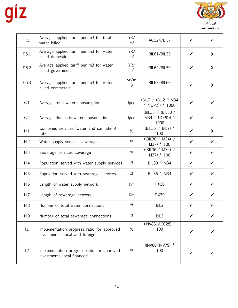

| F.5   | Average applied tariff per m3 for total<br>water billed                       | YR/<br>m <sup>3</sup>  | ACC24/BIL7                                  | ✓            | ✓            |
|-------|-------------------------------------------------------------------------------|------------------------|---------------------------------------------|--------------|--------------|
| F.5.1 | Average applied tariff per m3 for water<br>billed domestic                    | YR/<br>m <sup>3</sup>  | BIL61/BIL33                                 | ✓            | X            |
| F.5.2 | Average applied tariff per m3 for water<br>billed government                  | YR/<br>m <sup>3</sup>  | <b>BIL62/BIL59</b>                          | ✓            | X            |
| F.5.3 | Average applied tariff per m3 for water<br>billed commercial                  | yr/m<br>$\overline{3}$ | BIL63/BIL60                                 | ✓            | X            |
| G.1   | Average total water consumption                                               | lpcd                   | (BIL7 / (BIL2 * M34<br>* NOPD)) * 1000      | ✓            |              |
| G.2   | Average domestic water consumption                                            | lpcd                   | (BIL33 / (BIL30 *<br>M34 * NOPD)) *<br>1000 | ✓            | ✔            |
| H.1   | Combined services (water and sanitation)<br>ratio                             | %                      | (BIL35 / BIL2) $*$<br>100                   | ✓            | $\mathsf{X}$ |
| H.2   | Water supply services coverage                                                | %                      | $((BIL30 * M34) /$<br>M37) * 100            | ✓            | $\checkmark$ |
| H.3   | Sewerage services coverage                                                    | %                      | ((BIL36 * M34) /<br>M37) * 100              | $\checkmark$ | $\checkmark$ |
| H.4   | Population served with water supply services                                  | #                      | BIL30 * M34                                 | $\checkmark$ | ✓            |
| H.5   | Population served with sewerage services                                      | #                      | BIL36 * M34                                 | $\checkmark$ | $\checkmark$ |
| H.6   | Length of water supply network                                                | Km                     | FIX38                                       | $\checkmark$ | $\checkmark$ |
| H.7   | Length of sewerage network                                                    | Km                     | <b>FIX39</b>                                | ✓            | ✔            |
| H.8   | Number of total water connections                                             | #                      | BIL <sub>2</sub>                            | ✓            |              |
| H.9   | Number of total sewerage connections                                          | #                      | BIL3                                        |              |              |
| 1.1   | Implementation progress ratio for approved<br>investments (local and foreign) | %                      | (INV83/ACC28) *<br>100                      |              |              |
| 1.2   | Implementation progress ratio for approved<br>investments local-financed      | %                      | (INV80/INV79) *<br>100                      | ✓            |              |